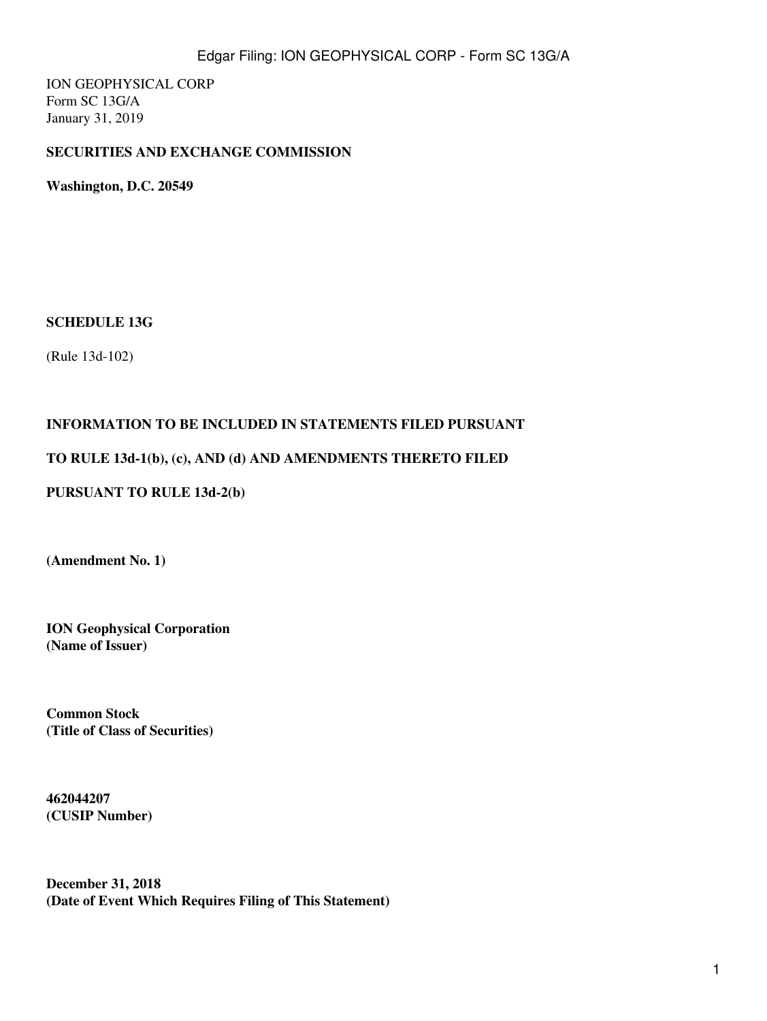ION GEOPHYSICAL CORP Form SC 13G/A January 31, 2019

## **SECURITIES AND EXCHANGE COMMISSION**

**Washington, D.C. 20549**

#### **SCHEDULE 13G**

(Rule 13d-102)

#### **INFORMATION TO BE INCLUDED IN STATEMENTS FILED PURSUANT**

#### **TO RULE 13d-1(b), (c), AND (d) AND AMENDMENTS THERETO FILED**

#### **PURSUANT TO RULE 13d-2(b)**

**(Amendment No. 1)**

**ION Geophysical Corporation (Name of Issuer)**

**Common Stock (Title of Class of Securities)**

**462044207 (CUSIP Number)**

**December 31, 2018 (Date of Event Which Requires Filing of This Statement)**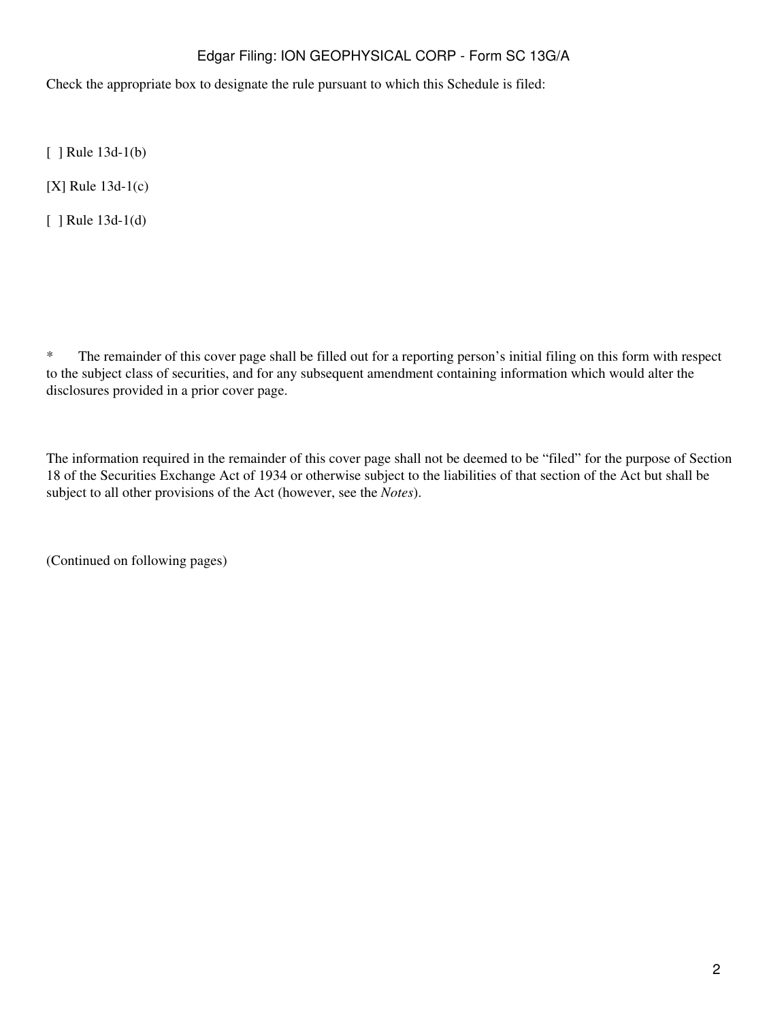Check the appropriate box to designate the rule pursuant to which this Schedule is filed:

[ ] Rule 13d-1(b)

[X] Rule 13d-1(c)

[ ] Rule 13d-1(d)

\* The remainder of this cover page shall be filled out for a reporting person's initial filing on this form with respect to the subject class of securities, and for any subsequent amendment containing information which would alter the disclosures provided in a prior cover page.

The information required in the remainder of this cover page shall not be deemed to be "filed" for the purpose of Section 18 of the Securities Exchange Act of 1934 or otherwise subject to the liabilities of that section of the Act but shall be subject to all other provisions of the Act (however, see the *Notes*).

(Continued on following pages)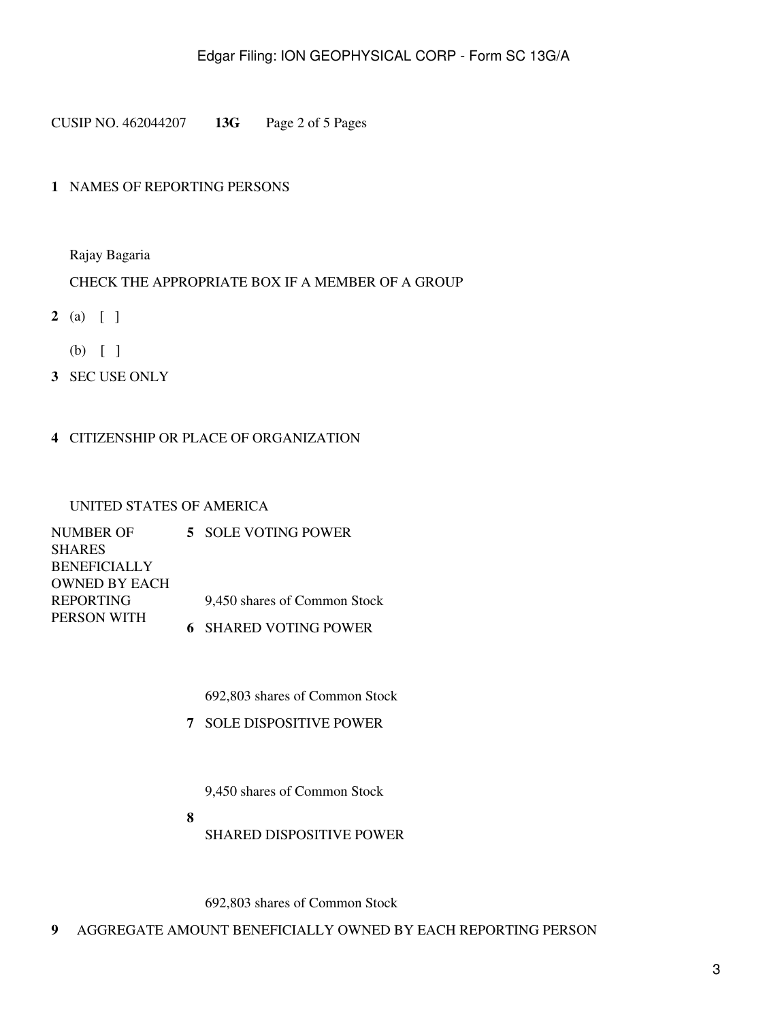CUSIP NO. 462044207 **13G** Page 2 of 5 Pages

## **1** NAMES OF REPORTING PERSONS

Rajay Bagaria

#### CHECK THE APPROPRIATE BOX IF A MEMBER OF A GROUP

- **2** (a) [ ]
	- (b) [ ]
- **3** SEC USE ONLY

#### **4** CITIZENSHIP OR PLACE OF ORGANIZATION

#### UNITED STATES OF AMERICA

| NUMBER OF            | 5 SOLE VOTING POWER          |
|----------------------|------------------------------|
| <b>SHARES</b>        |                              |
| <b>BENEFICIALLY</b>  |                              |
| <b>OWNED BY EACH</b> |                              |
| <b>REPORTING</b>     | 9.450 shares of Common Stock |
| PERSON WITH          | <b>6 SHARED VOTING POWER</b> |

692,803 shares of Common Stock

**7** SOLE DISPOSITIVE POWER

9,450 shares of Common Stock

**8** SHARED DISPOSITIVE POWER

692,803 shares of Common Stock

**9** AGGREGATE AMOUNT BENEFICIALLY OWNED BY EACH REPORTING PERSON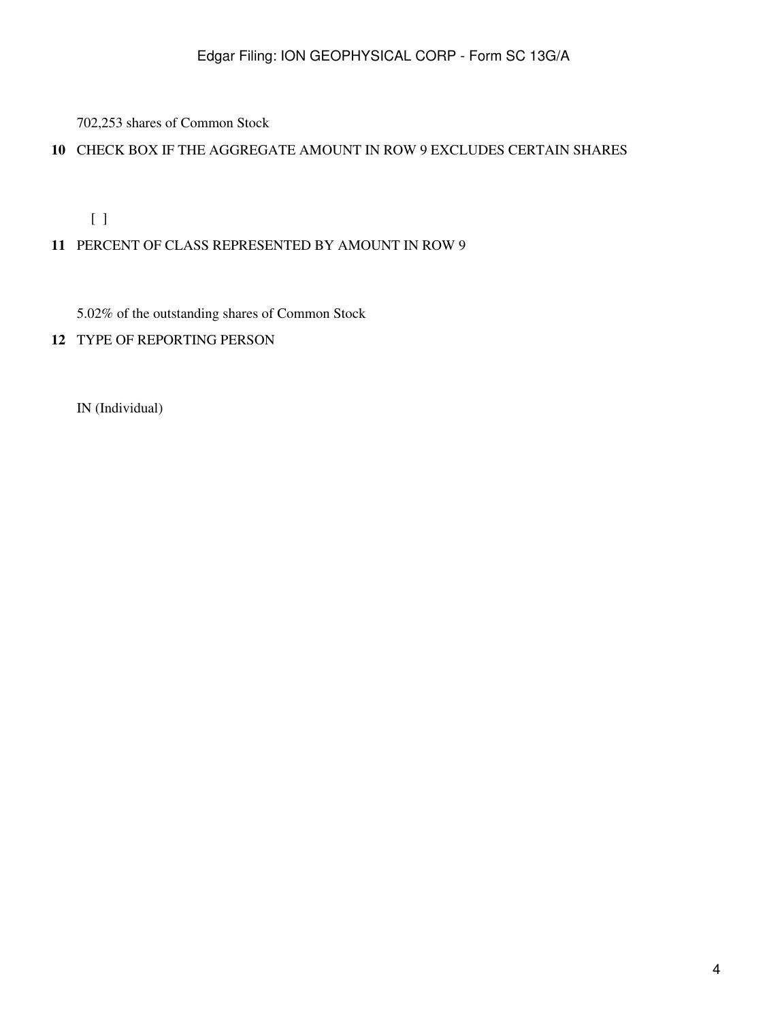702,253 shares of Common Stock

## **10** CHECK BOX IF THE AGGREGATE AMOUNT IN ROW 9 EXCLUDES CERTAIN SHARES

[ ]

## **11** PERCENT OF CLASS REPRESENTED BY AMOUNT IN ROW 9

5.02% of the outstanding shares of Common Stock

**12** TYPE OF REPORTING PERSON

IN (Individual)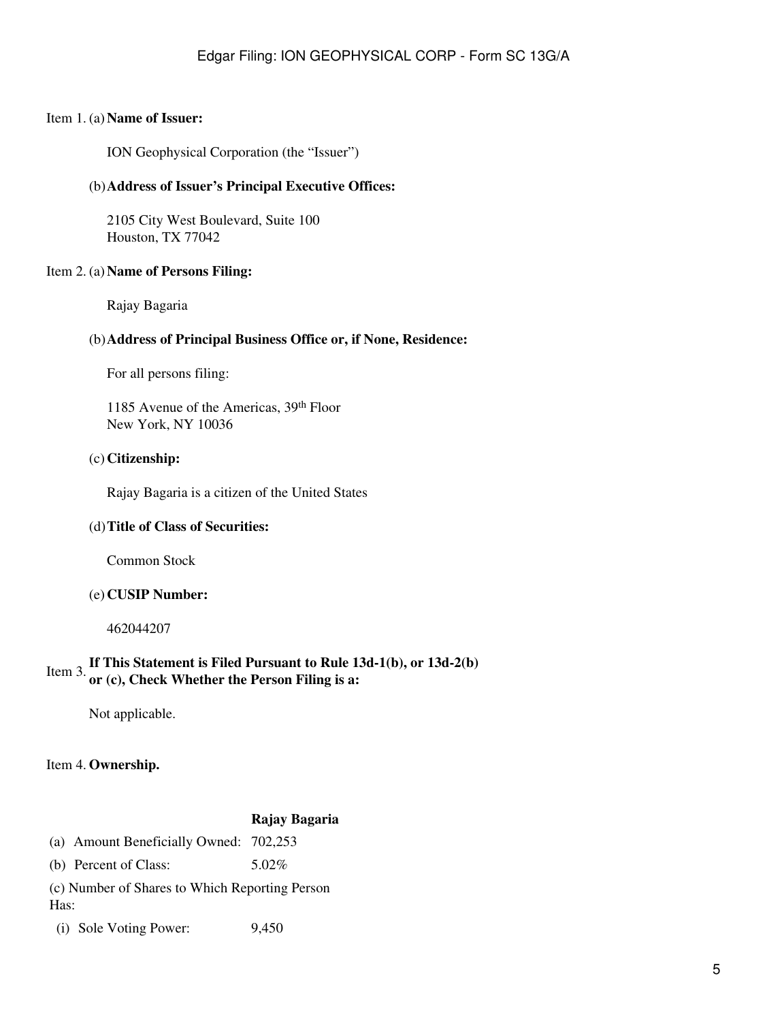#### Item 1. (a) **Name of Issuer:**

ION Geophysical Corporation (the "Issuer")

#### (b)**Address of Issuer's Principal Executive Offices:**

2105 City West Boulevard, Suite 100 Houston, TX 77042

#### Item 2. (a) **Name of Persons Filing:**

Rajay Bagaria

#### (b)**Address of Principal Business Office or, if None, Residence:**

For all persons filing:

1185 Avenue of the Americas, 39th Floor New York, NY 10036

#### (c) **Citizenship:**

Rajay Bagaria is a citizen of the United States

#### (d)**Title of Class of Securities:**

Common Stock

#### (e) **CUSIP Number:**

462044207

# Item 3.**If This Statement is Filed Pursuant to Rule 13d-1(b), or 13d-2(b) or (c), Check Whether the Person Filing is a:**

Not applicable.

#### Item 4. **Ownership.**

#### **Rajay Bagaria**

| (a) Amount Beneficially Owned: 702,253 |  |
|----------------------------------------|--|
|----------------------------------------|--|

(b) Percent of Class:  $5.02\%$ 

(c) Number of Shares to Which Reporting Person Has:

(i) Sole Voting Power: 9,450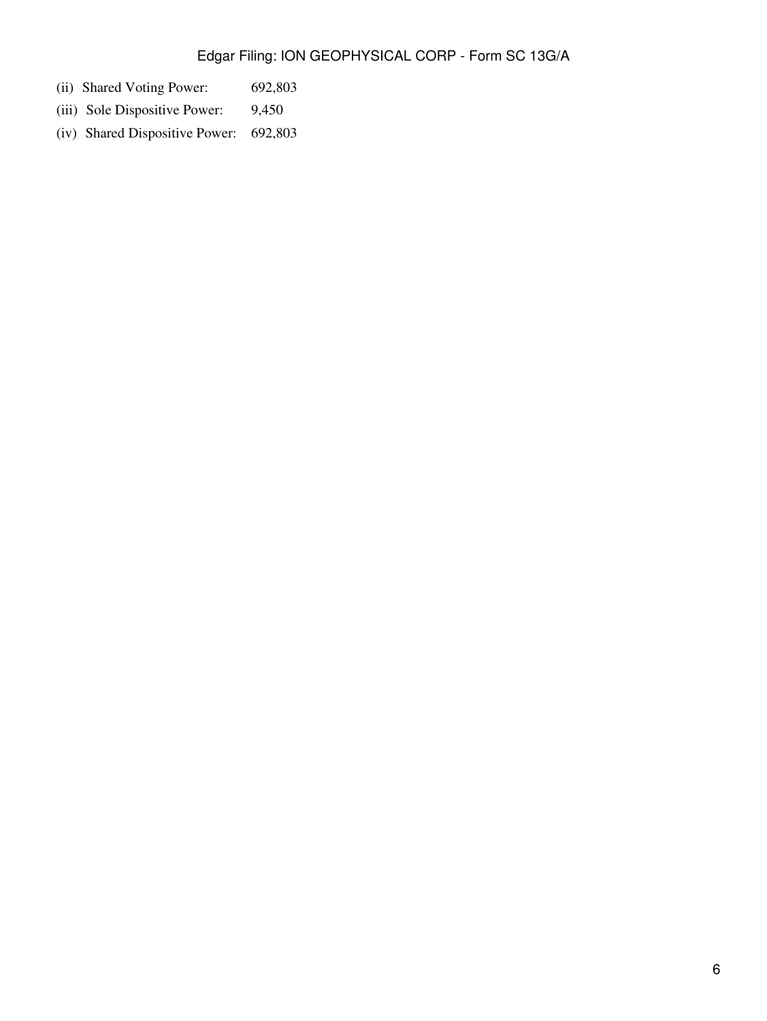- (ii) Shared Voting Power: 692,803
- (iii) Sole Dispositive Power: 9,450
- (iv) Shared Dispositive Power: 692,803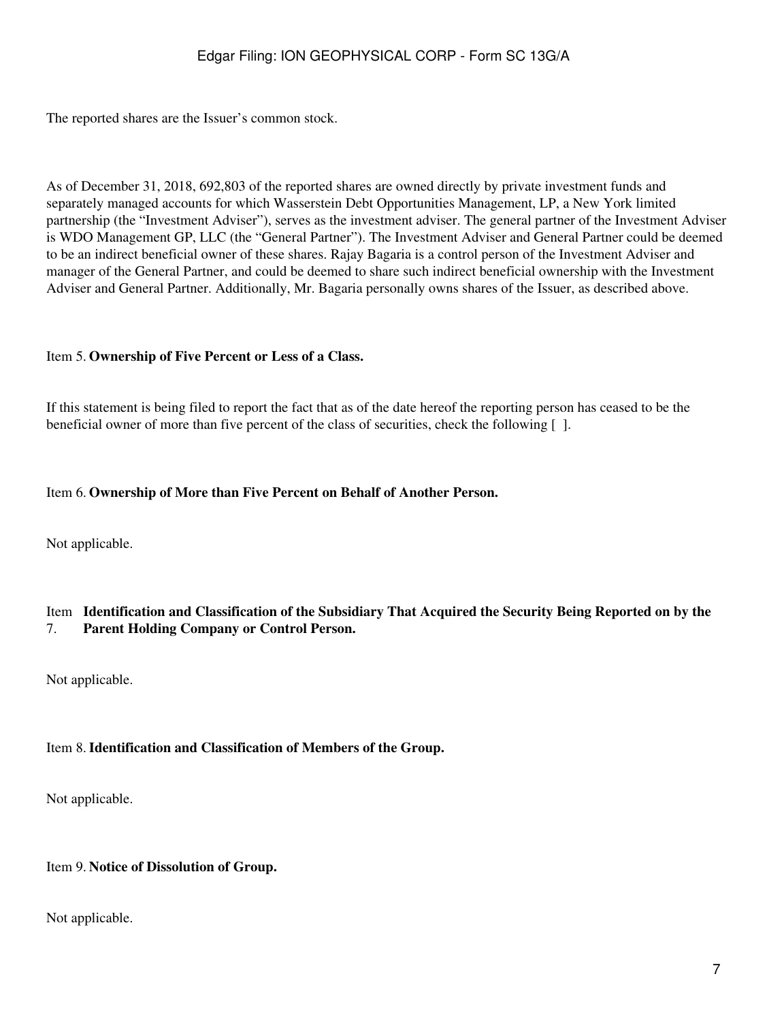The reported shares are the Issuer's common stock.

As of December 31, 2018, 692,803 of the reported shares are owned directly by private investment funds and separately managed accounts for which Wasserstein Debt Opportunities Management, LP, a New York limited partnership (the "Investment Adviser"), serves as the investment adviser. The general partner of the Investment Adviser is WDO Management GP, LLC (the "General Partner"). The Investment Adviser and General Partner could be deemed to be an indirect beneficial owner of these shares. Rajay Bagaria is a control person of the Investment Adviser and manager of the General Partner, and could be deemed to share such indirect beneficial ownership with the Investment Adviser and General Partner. Additionally, Mr. Bagaria personally owns shares of the Issuer, as described above.

#### Item 5. **Ownership of Five Percent or Less of a Class.**

If this statement is being filed to report the fact that as of the date hereof the reporting person has ceased to be the beneficial owner of more than five percent of the class of securities, check the following [ ].

#### Item 6. **Ownership of More than Five Percent on Behalf of Another Person.**

Not applicable.

#### Item **Identification and Classification of the Subsidiary That Acquired the Security Being Reported on by the** 7. **Parent Holding Company or Control Person.**

Not applicable.

#### Item 8.**Identification and Classification of Members of the Group.**

Not applicable.

#### Item 9. **Notice of Dissolution of Group.**

Not applicable.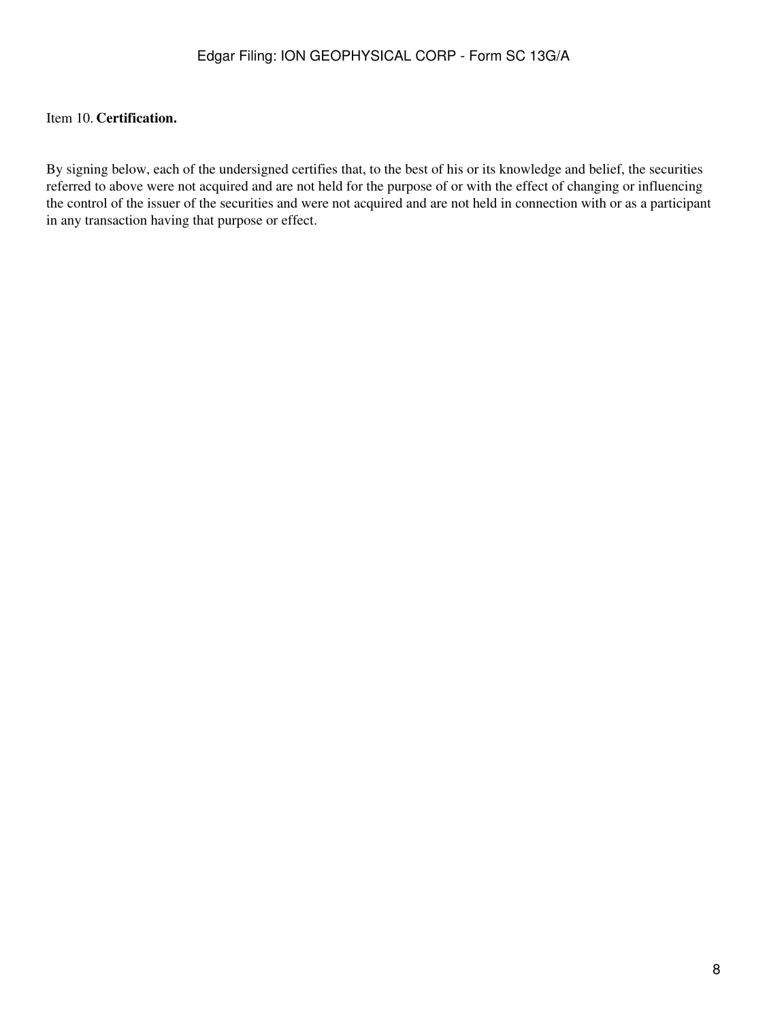## Item 10. **Certification.**

By signing below, each of the undersigned certifies that, to the best of his or its knowledge and belief, the securities referred to above were not acquired and are not held for the purpose of or with the effect of changing or influencing the control of the issuer of the securities and were not acquired and are not held in connection with or as a participant in any transaction having that purpose or effect.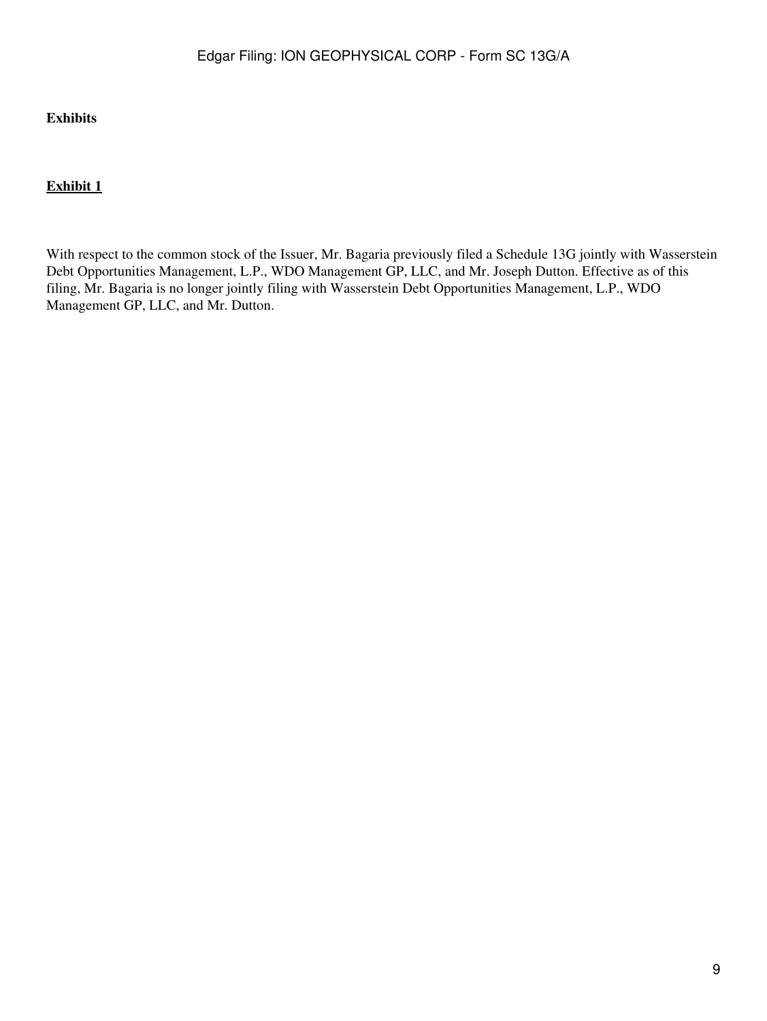## **Exhibits**

## **Exhibit 1**

With respect to the common stock of the Issuer, Mr. Bagaria previously filed a Schedule 13G jointly with Wasserstein Debt Opportunities Management, L.P., WDO Management GP, LLC, and Mr. Joseph Dutton. Effective as of this filing, Mr. Bagaria is no longer jointly filing with Wasserstein Debt Opportunities Management, L.P., WDO Management GP, LLC, and Mr. Dutton.